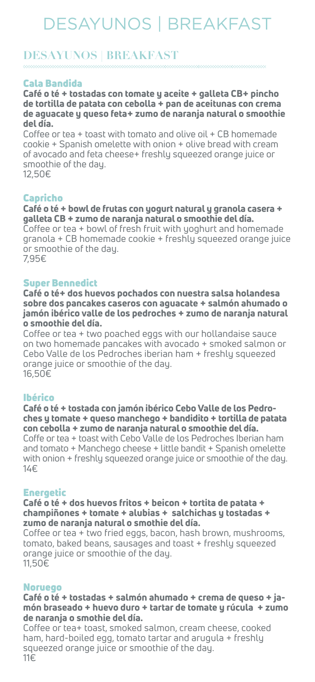# Cala Bandida

Café o té + tostadas con tomate y aceite + galleta CB+ pincho de tortilla de patata con cebolla + pan de aceitunas con crema de aguacate y queso feta+ zumo de naranja natural o smoothie del día.

Coffee or tea + toast with tomato and olive oil + CB homemade cookie + Spanish omelette with onion + olive bread with cream of avocado and feta cheese+ freshly squeezed orange juice or smoothie of the day. 12,50€

# Capricho

Café o té + bowl de frutas con yogurt natural y granola casera + galleta CB + zumo de naranja natural o smoothie del día. Coffee or tea + bowl of fresh fruit with yoghurt and homemade granola + CB homemade cookie + freshly squeezed orange juice or smoothie of the day.

7,95€

# Super Bennedict

Café o té+ dos huevos pochados con nuestra salsa holandesa sobre dos pancakes caseros con aguacate + salmón ahumado o jamón ibérico valle de los pedroches + zumo de naranja natural o smoothie del día.

Coffee or tea + two poached eggs with our hollandaise sauce on two homemade pancakes with avocado + smoked salmon or Cebo Valle de los Pedroches iberian ham + freshly squeezed orange juice or smoothie of the day. 16,50€

# Ibérico

Café o té + tostada con jamón ibérico Cebo Valle de los Pedroches y tomate + queso manchego + bandidito + tortilla de patata con cebolla + zumo de naranja natural o smoothie del día. Coffe or tea + toast with Cebo Valle de los Pedroches Iberian ham and tomato + Manchego cheese + little bandit + Spanish omelette with onion + freshly squeezed orange juice or smoothie of the day. 14€

# Energetic

Café o té + dos huevos fritos + beicon + tortita de patata + champiñones + tomate + alubias + salchichas y tostadas + zumo de naranja natural o smothie del día. Coffee or tea + two fried eggs, bacon, hash brown, mushrooms, tomato, baked beans, sausages and toast + freshly squeezed orange juice or smoothie of the day. 11,50€

#### Noruego

Café o té + tostadas + salmón ahumado + crema de queso + jamón braseado + huevo duro + tartar de tomate y rúcula + zumo de naranja o smothie del día.

Coffee or tea+ toast, smoked salmon, cream cheese, cooked ham, hard-boiled egg, tomato tartar and arugula + freshly squeezed orange juice or smoothie of the day. 11€

# **DESAYUNOS | BREAKFAST**

# DESAYUNOS | BREAKFAST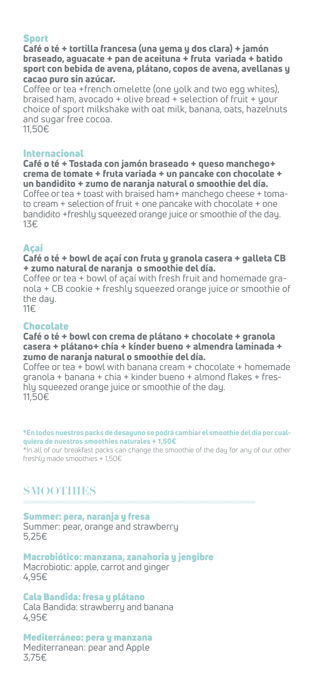# Sport

Café o té + tortilla francesa (una yema y dos clara) + jamón braseado, aguacate + pan de aceituna + fruta variada + batido sport con bebida de avena, plátano, copos de avena, avellanas y cacao puro sin azúcar.

Coffee or tea +french omelette (one yolk and two egg whites), braised ham, avocado + olive bread + selection of fruit + your choice of sport milkshake with oat milk, banana, oats, hazelnuts and sugar free cocoa. 11,50€

# Internacional

Café o té + Tostada con jamón braseado + queso manchego+ crema de tomate + fruta variada + un pancake con chocolate + un bandidito + zumo de naranja natural o smoothie del día. Coffee or tea + toast with braised ham+ manchego cheese + tomato cream + selection of fruit + one pancake with chocolate + one bandidito +freshly squeezed orange juice or smoothie of the day. 13€

#### Açaí Café o té + bowl de açaí con fruta y granola casera + galleta CB + zumo natural de naranja o smoothie del día.

Coffee or tea + bowl of açaí with fresh fruit and homemade granola + CB cookie + freshly squeezed orange juice or smoothie of the day.

11€

### Chocolate

Café o té + bowl con crema de plátano + chocolate + granola casera + plátano+ chía + kínder bueno + almendra laminada + zumo de naranja natural o smoothie del día.

Coffee or tea + bowl with banana cream + chocolate + homemade granola + banana + chia + kinder bueno + almond flakes + freshly squeezed orange juice or smoothie of the day. 11,50€

#### \*En todos nuestros packs de desayuno se podrá cambiar el smoothie del día por cualquiera de nuestros smoothies naturales + 1,50€

\*In all of our breakfast packs can change the smoothie of the day for any of our other freshly made smoothies + 1,50€

#### Summer: pera, naranja y fresa

Summer: pear, orange and strawberry 5,25€

### Macrobiótico: manzana, zanahoria y jengibre Macrobiotic: apple, carrot and ginger

4,95€

# Cala Bandida: fresa y plátano

Cala Bandida: strawberry and banana 4,95€

# Mediterráneo: pera y manzana

Mediterranean: pear and Apple 3,75€

# **SMOOTHIES**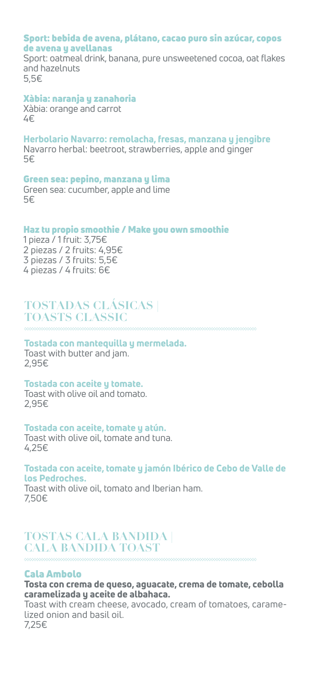#### Sport: bebida de avena, plátano, cacao puro sin azúcar, copos de avena y avellanas

Sport: oatmeal drink, banana, pure unsweetened cocoa, oat flakes and hazelnuts 5,5€

### Xàbia: naranja y zanahoria

Xàbia: orange and carrot 4€

Herbolario Navarro: remolacha, fresas, manzana y jengibre Navarro herbal: beetroot, strawberries, apple and ginger 5€

# Green sea: pepino, manzana y lima

Green sea: cucumber, apple and lime 5€

### Haz tu propio smoothie / Make you own smoothie

1 pieza / 1 fruit: 3,75€ 2 piezas / 2 fruits: 4,95€ 3 piezas / 3 fruits: 5,5€ 4 piezas / 4 fruits: 6€

# Tostada con mantequilla y mermelada.

Toast with butter and jam. 2,95€

### Tostada con aceite y tomate.

Toast with olive oil and tomato. 2,95€

### Tostada con aceite, tomate y atún.

Toast with olive oil, tomate and tuna. 4,25€

#### Tostada con aceite, tomate y jamón Ibérico de Cebo de Valle de los Pedroches.

Toast with olive oil, tomato and Iberian ham. 7,50€

# Cala Ambolo

#### Tosta con crema de queso, aguacate, crema de tomate, cebolla caramelizada y aceite de albahaca.

Toast with cream cheese, avocado, cream of tomatoes, caramelized onion and basil oil.

7,25€

# **TOSTADAS CLÁSICAS | TOASTS CLASSIC**

# **TOSTAS CALA BANDIDA | CALA BANDIDA TOAST**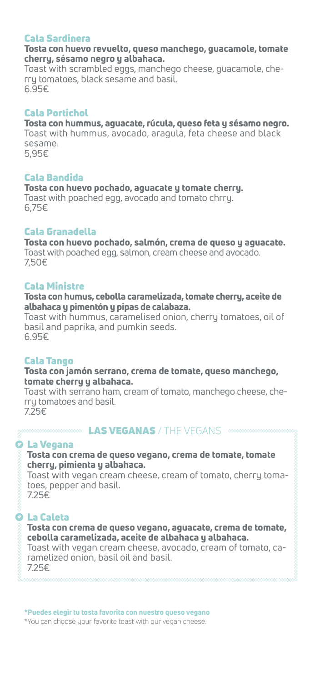# Cala Sardinera

#### Tosta con huevo revuelto, queso manchego, guacamole, tomate cherry, sésamo negro y albahaca.

Toast with scrambled eggs, manchego cheese, guacamole, cherry tomatoes, black sesame and basil. 6.95€

# Cala Portichol

Tosta con hummus, aguacate, rúcula, queso feta y sésamo negro. Toast with hummus, avocado, aragula, feta cheese and black sesame. 5,95€

### Cala Bandida

Tosta con huevo pochado, aguacate y tomate cherry.

Toast with poached egg, avocado and tomato chrry. 6,75€

# Cala Granadella

### Tosta con huevo pochado, salmón, crema de queso y aguacate.

### La Vegana Tosta con crema de queso vegano, crema de tomate, tomate cherry, pimienta y albahaca. Toast with vegan cream cheese, cream of tomato, cherry tomatoes, pepper and basil. **MARK WAS VEGANAS / THE VEGANS MARKWARK**

Toast with poached egg, salmon, cream cheese and avocado. 7,50€

# Cala Ministre

Tosta con humus, cebolla caramelizada, tomate cherry, aceite de albahaca y pimentón y pipas de calabaza.

Toast with hummus, caramelised onion, cherry tomatoes, oil of basil and paprika, and pumkin seeds. 6.95€

# Cala Tango

#### Tosta con jamón serrano, crema de tomate, queso manchego, tomate cherry y albahaca.

Toast with serrano ham, cream of tomato, manchego cheese, cherry tomatoes and basil.

7.25€

#### \*Puedes elegir tu tosta favorita con nuestro queso vegano

\*You can choose your favorite toast with our vegan cheese.

7.25€

# La Caleta

Tosta con crema de queso vegano, aguacate, crema de tomate, cebolla caramelizada, aceite de albahaca y albahaca. Toast with vegan cream cheese, avocado, cream of tomato, caramelized onion, basil oil and basil. 7.25€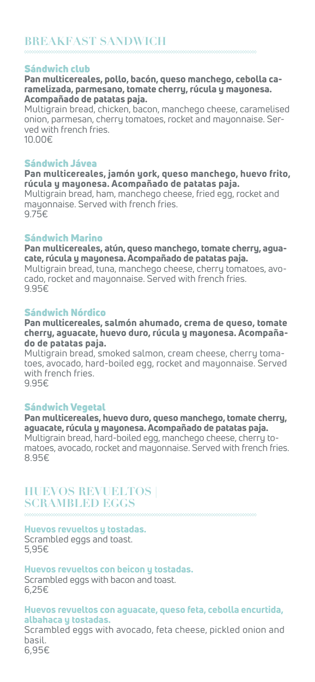# Sándwich club

Pan multicereales, pollo, bacón, queso manchego, cebolla caramelizada, parmesano, tomate cherry, rúcula y mayonesa. Acompañado de patatas paja.

Multigrain bread, chicken, bacon, manchego cheese, caramelised onion, parmesan, cherry tomatoes, rocket and mayonnaise. Served with french fries.

10.00€

# Sándwich Jávea

Pan multicereales, jamón york, queso manchego, huevo frito, rúcula y mayonesa. Acompañado de patatas paja.

Multigrain bread, ham, manchego cheese, fried egg, rocket and mayonnaise. Served with french fries. 9.75€

# Sándwich Marino

Pan multicereales, atún, queso manchego, tomate cherry, agua-

#### cate, rúcula y mayonesa. Acompañado de patatas paja. Multigrain bread, tuna, manchego cheese, cherry tomatoes, avocado, rocket and mayonnaise. Served with french fries. 9.95€

# Sándwich Nórdico

#### Pan multicereales, salmón ahumado, crema de queso, tomate cherry, aguacate, huevo duro, rúcula y mayonesa. Acompañado de patatas paja.

Multigrain bread, smoked salmon, cream cheese, cherry tomatoes, avocado, hard-boiled egg, rocket and mayonnaise. Served with french fries.

9.95€

# Sándwich Vegetal

Pan multicereales, huevo duro, queso manchego, tomate cherry, aguacate, rúcula y mayonesa. Acompañado de patatas paja. Multigrain bread, hard-boiled egg, manchego cheese, cherry tomatoes, avocado, rocket and mayonnaise. Served with french fries. 8.95€

### Huevos revueltos y tostadas. Scrambled eggs and toast.

5,95€

### Huevos revueltos con beicon y tostadas.

Scrambled eggs with bacon and toast. 6,25€

Huevos revueltos con aguacate, queso feta, cebolla encurtida, albahaca y tostadas. Scrambled eggs with avocado, feta cheese, pickled onion and basil. 6,95€

# **HUEVOS REVUELTOS | SCRAMBLED EGGS**

# **BREAKFAST SANDWICH**